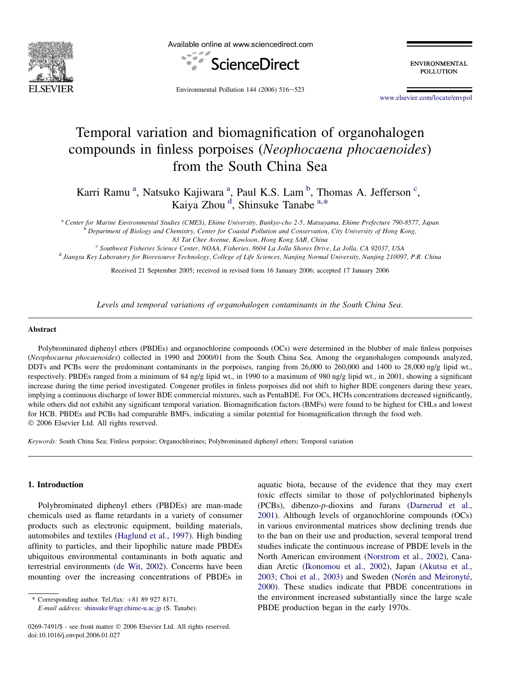

Available online at www.sciencedirect.com



**ENVIRONMENTAL POLLUTION** 

Environmental Pollution  $144$  (2006)  $516 - 523$ 

[www.elsevier.com/locate/envpol](http://www.elsevier.com/locate/envpol)

# Temporal variation and biomagnification of organohalogen compounds in finless porpoises (Neophocaena phocaenoides) from the South China Sea

Karri Ramu<sup>a</sup>, Natsuko Kajiwara<sup>a</sup>, Paul K.S. Lam<sup>b</sup>, Thomas A. Jefferson<sup>c</sup>, Kaiya Zhou<sup>d</sup>, Shinsuke Tanabe<sup>a,\*</sup>

<sup>a</sup> Center for Marine Environmental Studies (CMES), Ehime University, Bunkyo-cho 2-5, Matsuyama, Ehime Prefecture 790-8577, Japan<br>b Department of Biology and Chemistry, Center for Coastal Pollution and Conservation, City U

83 Tat Chee Avenue, Kowloon, Hong Kong SAR, China<br><sup>c</sup> Southwest Fisheries Science Center, NOAA, Fisheries, 8604 La Jolla Shores Drive, La Jolla, CA 92037, USA<br>d Jiangsu Key Laboratory for Bioresource Technology, College of

Received 21 September 2005; received in revised form 16 January 2006; accepted 17 January 2006

Levels and temporal variations of organohalogen contaminants in the South China Sea.

#### Abstract

Polybrominated diphenyl ethers (PBDEs) and organochlorine compounds (OCs) were determined in the blubber of male finless porpoises (Neophocaena phocaenoides) collected in 1990 and 2000/01 from the South China Sea. Among the organohalogen compounds analyzed, DDTs and PCBs were the predominant contaminants in the porpoises, ranging from 26,000 to 260,000 and 1400 to 28,000 ng/g lipid wt., respectively. PBDEs ranged from a minimum of 84 ng/g lipid wt., in 1990 to a maximum of 980 ng/g lipid wt., in 2001, showing a significant increase during the time period investigated. Congener profiles in finless porpoises did not shift to higher BDE congeners during these years, implying a continuous discharge of lower BDE commercial mixtures, such as PentaBDE. For OCs, HCHs concentrations decreased significantly, while others did not exhibit any significant temporal variation. Biomagnification factors (BMFs) were found to be highest for CHLs and lowest for HCB. PBDEs and PCBs had comparable BMFs, indicating a similar potential for biomagnification through the food web.  $© 2006 Elsevier Ltd. All rights reserved.$ 

Keywords: South China Sea; Finless porpoise; Organochlorines; Polybrominated diphenyl ethers; Temporal variation

## 1. Introduction

Polybrominated diphenyl ethers (PBDEs) are man-made chemicals used as flame retardants in a variety of consumer products such as electronic equipment, building materials, automobiles and textiles ([Haglund](#page-6-0) et al., 1997). High binding affinity to particles, and their lipophilic nature made PBDEs ubiquitous environmental contaminants in both aquatic and terrestrial environments (de Wit, [2002\)](#page-6-0). Concerns have been mounting over the increasing concentrations of PBDEs in

E-mail address: [shinsuke@agr.ehime-u.ac.jp](mailto:shinsuke@agr.ehime-u.ac.jp) (S. Tanabe).

aquatic biota, because of the evidence that they may exert toxic effects similar to those of polychlorinated biphenyls (PCBs), dibenzo-p-dioxins and furans ([Darnerud](#page-6-0) et al., [2001\)](#page-6-0). Although levels of organochlorine compounds (OCs) in various environmental matrices show declining trends due to the ban on their use and production, several temporal trend studies indicate the continuous increase of PBDE levels in the North American environment ([Norstrom](#page-7-0) et al., 2002), Canadian Arctic [\(Ikonomou](#page-6-0) et al., 2002), Japan [\(Akutsu](#page-6-0) et al., [2003;](#page-6-0) Choi et al., 2003) and Sweden (Norén and Meironyté, [2000\)](#page-7-0). These studies indicate that PBDE concentrations in the environment increased substantially since the large scale \* Corresponding author. Tel./fax: +81 89 927 8171. the environment increased substantially since E-mail address: shinsuke@agr.ehime-u.ac.jp (S. Tanabe). PBDE production began in the early 1970s.

<sup>0269-7491/\$ -</sup> see front matter © 2006 Elsevier Ltd. All rights reserved. doi:10.1016/j.envpol.2006.01.027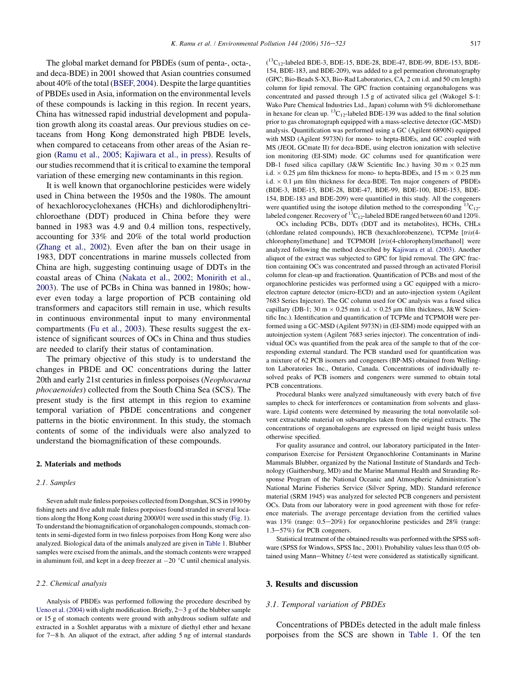The global market demand for PBDEs (sum of penta-, octa-, and deca-BDE) in 2001 showed that Asian countries consumed about  $40\%$  of the total ([BSEF,](#page-6-0) 2004). Despite the large quantities of PBDEs used in Asia, information on the environmental levels of these compounds is lacking in this region. In recent years, China has witnessed rapid industrial development and population growth along its coastal areas. Our previous studies on cetaceans from Hong Kong demonstrated high PBDE levels, when compared to cetaceans from other areas of the Asian region (Ramu et al., 2005; [Kajiwara](#page-7-0) et al., in press). Results of our studies recommend that it is critical to examine the temporal variation of these emerging new contaminants in this region.

It is well known that organochlorine pesticides were widely used in China between the 1950s and the 1980s. The amount of hexachlorocyclohexanes (HCHs) and dichlorodiphenyltrichloroethane (DDT) produced in China before they were banned in 1983 was 4.9 and 0.4 million tons, respectively, accounting for 33% and 20% of the total world production ([Zhang](#page-7-0) et al., 2002). Even after the ban on their usage in 1983, DDT concentrations in marine mussels collected from China are high, suggesting continuing usage of DDTs in the coastal areas of China (Nakata et al., 2002; [Monirith](#page-7-0) et al., [2003](#page-7-0)). The use of PCBs in China was banned in 1980s; however even today a large proportion of PCB containing old transformers and capacitors still remain in use, which results in continuous environmental input to many environmental compartments (Fu et al., [2003](#page-6-0)). These results suggest the existence of significant sources of OCs in China and thus studies are needed to clarify their status of contamination.

The primary objective of this study is to understand the changes in PBDE and OC concentrations during the latter 20th and early 21st centuries in finless porpoises (Neophocaena phocaenoides) collected from the South China Sea (SCS). The present study is the first attempt in this region to examine temporal variation of PBDE concentrations and congener patterns in the biotic environment. In this study, the stomach contents of some of the individuals were also analyzed to understand the biomagnification of these compounds.

#### 2. Materials and methods

#### 2.1. Samples

Seven adult male finless porpoises collected from Dongshan, SCS in 1990 by fishing nets and five adult male finless porpoises found stranded in several loca-tions along the Hong Kong coast during 2000/01 were used in this study ([Fig.](#page-2-0) 1). To understand the biomagnification of organohalogen compounds, stomach contents in semi-digested form in two finless porpoises from Hong Kong were also analyzed. Biological data of the animals analyzed are given in [Table](#page-2-0) 1. Blubber samples were excised from the animals, and the stomach contents were wrapped in aluminum foil, and kept in a deep freezer at  $-20$   $\degree$ C until chemical analysis.

#### 2.2. Chemical analysis

Analysis of PBDEs was performed following the procedure described by Ueno et al. [\(2004\)](#page-7-0) with slight modification. Briefly,  $2-3$  g of the blubber sample or 15 g of stomach contents were ground with anhydrous sodium sulfate and extracted in a Soxhlet apparatus with a mixture of diethyl ether and hexane for  $7-8$  h. An aliquot of the extract, after adding 5 ng of internal standards

 $(^{13}C_{12}$ -labeled BDE-3, BDE-15, BDE-28, BDE-47, BDE-99, BDE-153, BDE-154, BDE-183, and BDE-209), was added to a gel permeation chromatography (GPC; Bio-Beads S-X3, Bio-Rad Laboratories, CA, 2 cm i.d. and 50 cm length) column for lipid removal. The GPC fraction containing organohalogens was concentrated and passed through 1.5 g of activated silica gel (Wakogel S-1: Wako Pure Chemical Industries Ltd., Japan) column with 5% dichloromethane in hexane for clean up.  ${}^{13}C_{12}$ -labeled BDE-139 was added to the final solution prior to gas chromatograph equipped with a mass-selective detector (GC-MSD) analysis. Quantification was performed using a GC (Agilent 6890N) equipped with MSD (Agilent 5973N) for mono- to hepta-BDEs, and GC coupled with MS (JEOL GCmate II) for deca-BDE, using electron ionization with selective ion monitoring (EI-SIM) mode. GC columns used for quantification were DB-1 fused silica capillary (J&W Scientific Inc.) having  $30 \text{ m} \times 0.25 \text{ mm}$ i.d.  $\times$  0.25 µm film thickness for mono- to hepta-BDEs, and 15 m  $\times$  0.25 mm i.d.  $\times$  0.1 µm film thickness for deca-BDE. Ten major congeners of PBDEs (BDE-3, BDE-15, BDE-28, BDE-47, BDE-99, BDE-100, BDE-153, BDE-154, BDE-183 and BDE-209) were quantified in this study. All the congeners were quantified using the isotope dilution method to the corresponding  ${}^{13}C_{12}$ labeled congener. Recovery of  ${}^{13}C_{12}$ -labeled BDE ranged between 60 and 120%.

OCs including PCBs, DDTs (DDT and its metabolites), HCHs, CHLs (chlordane related compounds), HCB (hexachlorobenzene), TCPMe [tris(4 chlorophenyl)methane] and TCPMOH [tris(4-chlorophenyl)methanol] were analyzed following the method described by [Kajiwara](#page-6-0) et al. (2003). Another aliquot of the extract was subjected to GPC for lipid removal. The GPC fraction containing OCs was concentrated and passed through an activated Florisil column for clean-up and fractionation. Quantification of PCBs and most of the organochlorine pesticides was performed using a GC equipped with a microelectron capture detector (micro-ECD) and an auto-injection system (Agilent 7683 Series Injector). The GC column used for OC analysis was a fused silica capillary (DB-1; 30 m  $\times$  0.25 mm i.d.  $\times$  0.25 µm film thickness, J&W Scientific Inc.). Identification and quantification of TCPMe and TCPMOH were performed using a GC-MSD (Agilent 5973N) in (EI-SIM) mode equipped with an autoinjection system (Agilent 7683 series injector). The concentration of individual OCs was quantified from the peak area of the sample to that of the corresponding external standard. The PCB standard used for quantification was a mixture of 62 PCB isomers and congeners (BP-MS) obtained from Wellington Laboratories Inc., Ontario, Canada. Concentrations of individually resolved peaks of PCB isomers and congeners were summed to obtain total PCB concentrations.

Procedural blanks were analyzed simultaneously with every batch of five samples to check for interferences or contamination from solvents and glassware. Lipid contents were determined by measuring the total nonvolatile solvent extractable material on subsamples taken from the original extracts. The concentrations of organohalogens are expressed on lipid weight basis unless otherwise specified.

For quality assurance and control, our laboratory participated in the Intercomparison Exercise for Persistent Organochlorine Contaminants in Marine Mammals Blubber, organized by the National Institute of Standards and Technology (Gaithersburg, MD) and the Marine Mammal Health and Stranding Response Program of the National Oceanic and Atmospheric Administration's National Marine Fisheries Service (Silver Spring, MD). Standard reference material (SRM 1945) was analyzed for selected PCB congeners and persistent OCs. Data from our laboratory were in good agreement with those for reference materials. The average percentage deviation from the certified values was  $13\%$  (range:  $0.5-20\%$ ) for organochlorine pesticides and  $28\%$  (range:  $1.3-57\%$ ) for PCB congeners.

Statistical treatment of the obtained results was performed with the SPSS software (SPSS for Windows, SPSS Inc., 2001). Probability values less than 0.05 obtained using Mann-Whitney U-test were considered as statistically significant.

## 3. Results and discussion

### 3.1. Temporal variation of PBDEs

Concentrations of PBDEs detected in the adult male finless porpoises from the SCS are shown in [Table](#page-2-0) 1. Of the ten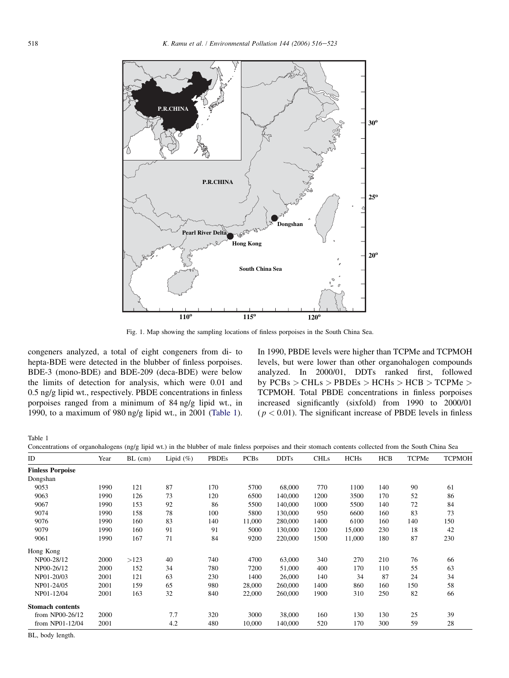<span id="page-2-0"></span>

Fig. 1. Map showing the sampling locations of finless porpoises in the South China Sea.

congeners analyzed, a total of eight congeners from di- to hepta-BDE were detected in the blubber of finless porpoises. BDE-3 (mono-BDE) and BDE-209 (deca-BDE) were below the limits of detection for analysis, which were 0.01 and 0.5 ng/g lipid wt., respectively. PBDE concentrations in finless porpoises ranged from a minimum of 84 ng/g lipid wt., in 1990, to a maximum of 980 ng/g lipid wt., in 2001 (Table 1).

In 1990, PBDE levels were higher than TCPMe and TCPMOH levels, but were lower than other organohalogen compounds analyzed. In 2000/01, DDTs ranked first, followed by PCBs > CHLs > PBDEs > HCHs > HCB > TCPMe > TCPMOH. Total PBDE concentrations in finless porpoises increased significantly (sixfold) from 1990 to 2000/01  $(p < 0.01)$ . The significant increase of PBDE levels in finless

Table 1

Concentrations of organohalogens (ng/g lipid wt.) in the blubber of male finless porpoises and their stomach contents collected from the South China Sea

| ID                      | Year | $BL$ (cm) | Lipid $(\%)$ | <b>PBDEs</b> | <b>PCBs</b> | <b>DDTs</b> | <b>CHLs</b> | <b>HCHs</b> | <b>HCB</b> | TCPMe | <b>TCPMOH</b> |
|-------------------------|------|-----------|--------------|--------------|-------------|-------------|-------------|-------------|------------|-------|---------------|
| <b>Finless Porpoise</b> |      |           |              |              |             |             |             |             |            |       |               |
| Dongshan                |      |           |              |              |             |             |             |             |            |       |               |
| 9053                    | 1990 | 121       | 87           | 170          | 5700        | 68,000      | 770         | 1100        | 140        | 90    | 61            |
| 9063                    | 1990 | 126       | 73           | 120          | 6500        | 140,000     | 1200        | 3500        | 170        | 52    | 86            |
| 9067                    | 1990 | 153       | 92           | 86           | 5500        | 140,000     | 1000        | 5500        | 140        | 72    | 84            |
| 9074                    | 1990 | 158       | 78           | 100          | 5800        | 130,000     | 950         | 6600        | 160        | 83    | 73            |
| 9076                    | 1990 | 160       | 83           | 140          | 11,000      | 280,000     | 1400        | 6100        | 160        | 140   | 150           |
| 9079                    | 1990 | 160       | 91           | 91           | 5000        | 130,000     | 1200        | 15,000      | 230        | 18    | 42            |
| 9061                    | 1990 | 167       | 71           | 84           | 9200        | 220,000     | 1500        | 11,000      | 180        | 87    | 230           |
| Hong Kong               |      |           |              |              |             |             |             |             |            |       |               |
| NP00-28/12              | 2000 | >123      | 40           | 740          | 4700        | 63,000      | 340         | 270         | 210        | 76    | 66            |
| NP00-26/12              | 2000 | 152       | 34           | 780          | 7200        | 51,000      | 400         | 170         | 110        | 55    | 63            |
| NP01-20/03              | 2001 | 121       | 63           | 230          | 1400        | 26,000      | 140         | 34          | 87         | 24    | 34            |
| NP01-24/05              | 2001 | 159       | 65           | 980          | 28,000      | 260,000     | 1400        | 860         | 160        | 150   | 58            |
| NP01-12/04              | 2001 | 163       | 32           | 840          | 22,000      | 260,000     | 1900        | 310         | 250        | 82    | 66            |
| <b>Stomach contents</b> |      |           |              |              |             |             |             |             |            |       |               |
| from NP00-26/12         | 2000 |           | 7.7          | 320          | 3000        | 38,000      | 160         | 130         | 130        | 25    | 39            |
| from NP01-12/04         | 2001 |           | 4.2          | 480          | 10,000      | 140,000     | 520         | 170         | 300        | 59    | 28            |
| BL, body length.        |      |           |              |              |             |             |             |             |            |       |               |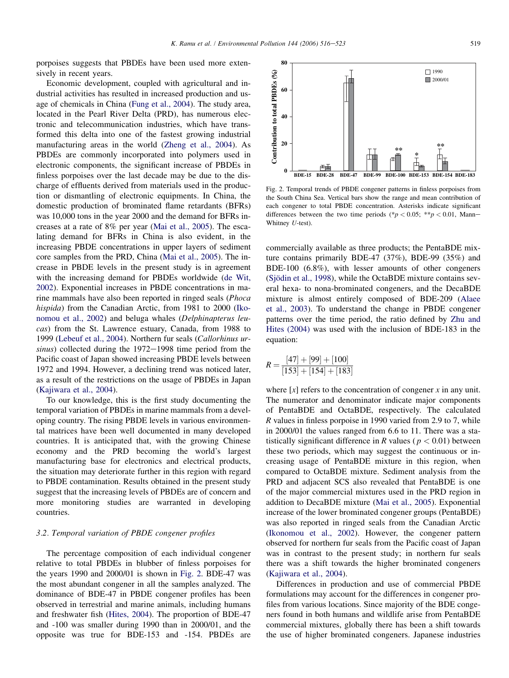porpoises suggests that PBDEs have been used more extensively in recent years.

Economic development, coupled with agricultural and industrial activities has resulted in increased production and usage of chemicals in China [\(Fung](#page-6-0) et al., 2004). The study area, located in the Pearl River Delta (PRD), has numerous electronic and telecommunication industries, which have transformed this delta into one of the fastest growing industrial manufacturing areas in the world [\(Zheng](#page-7-0) et al., 2004). As PBDEs are commonly incorporated into polymers used in electronic components, the significant increase of PBDEs in finless porpoises over the last decade may be due to the discharge of effluents derived from materials used in the production or dismantling of electronic equipments. In China, the domestic production of brominated flame retardants (BFRs) was 10,000 tons in the year 2000 and the demand for BFRs increases at a rate of 8% per year (Mai et al., [2005](#page-7-0)). The escalating demand for BFRs in China is also evident, in the increasing PBDE concentrations in upper layers of sediment core samples from the PRD, China (Mai et al., [2005](#page-7-0)). The increase in PBDE levels in the present study is in agreement with the increasing demand for PBDEs worldwide (de [Wit,](#page-6-0) [2002](#page-6-0)). Exponential increases in PBDE concentrations in marine mammals have also been reported in ringed seals (Phoca hispida) from the Canadian Arctic, from 1981 to 2000 ([Iko](#page-6-0)[nomou](#page-6-0) et al., 2002) and beluga whales (Delphinapterus leucas) from the St. Lawrence estuary, Canada, from 1988 to 1999 [\(Lebeuf](#page-7-0) et al., 2004). Northern fur seals (Callorhinus ursinus) collected during the  $1972-1998$  time period from the Pacific coast of Japan showed increasing PBDE levels between 1972 and 1994. However, a declining trend was noticed later, as a result of the restrictions on the usage of PBDEs in Japan ([Kajiwara](#page-6-0) et al., 2004).

To our knowledge, this is the first study documenting the temporal variation of PBDEs in marine mammals from a developing country. The rising PBDE levels in various environmental matrices have been well documented in many developed countries. It is anticipated that, with the growing Chinese economy and the PRD becoming the world's largest manufacturing base for electronics and electrical products, the situation may deteriorate further in this region with regard to PBDE contamination. Results obtained in the present study suggest that the increasing levels of PBDEs are of concern and more monitoring studies are warranted in developing countries.

# 3.2. Temporal variation of PBDE congener profiles

The percentage composition of each individual congener relative to total PBDEs in blubber of finless porpoises for the years 1990 and 2000/01 is shown in Fig. 2. BDE-47 was the most abundant congener in all the samples analyzed. The dominance of BDE-47 in PBDE congener profiles has been observed in terrestrial and marine animals, including humans and freshwater fish [\(Hites,](#page-6-0) 2004). The proportion of BDE-47 and -100 was smaller during 1990 than in 2000/01, and the opposite was true for BDE-153 and -154. PBDEs are



Fig. 2. Temporal trends of PBDE congener patterns in finless porpoises from the South China Sea. Vertical bars show the range and mean contribution of each congener to total PBDE concentration. Asterisks indicate significant differences between the two time periods (\* $p < 0.05$ ; \*\* $p < 0.01$ , Mann-Whitney U-test).

commercially available as three products; the PentaBDE mixture contains primarily BDE-47 (37%), BDE-99 (35%) and BDE-100 (6.8%), with lesser amounts of other congeners (Sjödin et al., 1998), while the OctaBDE mixture contains several hexa- to nona-brominated congeners, and the DecaBDE mixture is almost entirely composed of BDE-209 [\(Alaee](#page-6-0) et al., [2003](#page-6-0)). To understand the change in PBDE congener patterns over the time period, the ratio defined by [Zhu](#page-7-0) and Hites [\(2004\)](#page-7-0) was used with the inclusion of BDE-183 in the equation:

$$
R = \frac{[47] + [99] + [100]}{[153] + [154] + [183]}
$$

where  $[x]$  refers to the concentration of congener x in any unit. The numerator and denominator indicate major components of PentaBDE and OctaBDE, respectively. The calculated R values in finless porpoise in 1990 varied from 2.9 to 7, while in 2000/01 the values ranged from 6.6 to 11. There was a statistically significant difference in R values ( $p < 0.01$ ) between these two periods, which may suggest the continuous or increasing usage of PentaBDE mixture in this region, when compared to OctaBDE mixture. Sediment analysis from the PRD and adjacent SCS also revealed that PentaBDE is one of the major commercial mixtures used in the PRD region in addition to DecaBDE mixture (Mai et al., [2005](#page-7-0)). Exponential increase of the lower brominated congener groups (PentaBDE) was also reported in ringed seals from the Canadian Arctic ([Ikonomou](#page-6-0) et al., 2002). However, the congener pattern observed for northern fur seals from the Pacific coast of Japan was in contrast to the present study; in northern fur seals there was a shift towards the higher brominated congeners ([Kajiwara](#page-6-0) et al., 2004).

Differences in production and use of commercial PBDE formulations may account for the differences in congener profiles from various locations. Since majority of the BDE congeners found in both humans and wildlife arise from PentaBDE commercial mixtures, globally there has been a shift towards the use of higher brominated congeners. Japanese industries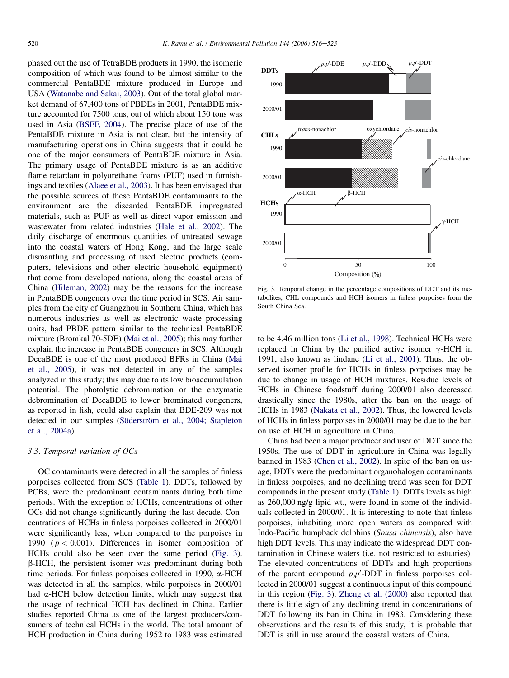phased out the use of TetraBDE products in 1990, the isomeric composition of which was found to be almost similar to the commercial PentaBDE mixture produced in Europe and USA ([Watanabe](#page-7-0) and Sakai, 2003). Out of the total global market demand of 67,400 tons of PBDEs in 2001, PentaBDE mixture accounted for 7500 tons, out of which about 150 tons was used in Asia ([BSEF,](#page-6-0) 2004). The precise place of use of the PentaBDE mixture in Asia is not clear, but the intensity of manufacturing operations in China suggests that it could be one of the major consumers of PentaBDE mixture in Asia. The primary usage of PentaBDE mixture is as an additive flame retardant in polyurethane foams (PUF) used in furnishings and textiles [\(Alaee](#page-6-0) et al., 2003). It has been envisaged that the possible sources of these PentaBDE contaminants to the environment are the discarded PentaBDE impregnated materials, such as PUF as well as direct vapor emission and wastewater from related industries (Hale et al., [2002\)](#page-6-0). The daily discharge of enormous quantities of untreated sewage into the coastal waters of Hong Kong, and the large scale dismantling and processing of used electric products (computers, televisions and other electric household equipment) that come from developed nations, along the coastal areas of China [\(Hileman,](#page-6-0) 2002) may be the reasons for the increase in PentaBDE congeners over the time period in SCS. Air samples from the city of Guangzhou in Southern China, which has numerous industries as well as electronic waste processing units, had PBDE pattern similar to the technical PentaBDE mixture (Bromkal 70-5DE) (Mai et al., [2005](#page-7-0)); this may further explain the increase in PentaBDE congeners in SCS. Although DecaBDE is one of the most produced BFRs in China ([Mai](#page-7-0) et al., [2005\)](#page-7-0), it was not detected in any of the samples analyzed in this study; this may due to its low bioaccumulation potential. The photolytic debromination or the enzymatic debromination of DecaBDE to lower brominated congeners, as reported in fish, could also explain that BDE-209 was not detected in our samples (Söderström et al., 2004; Stapleton et al., [2004a](#page-7-0)).

#### 3.3. Temporal variation of OCs

OC contaminants were detected in all the samples of finless porpoises collected from SCS [\(Table](#page-2-0) 1). DDTs, followed by PCBs, were the predominant contaminants during both time periods. With the exception of HCHs, concentrations of other OCs did not change significantly during the last decade. Concentrations of HCHs in finless porpoises collected in 2000/01 were significantly less, when compared to the porpoises in 1990 ( $p < 0.001$ ). Differences in isomer composition of HCHs could also be seen over the same period (Fig. 3).  $\beta$ -HCH, the persistent isomer was predominant during both time periods. For finless porpoises collected in 1990,  $\alpha$ -HCH was detected in all the samples, while porpoises in 2000/01 had  $\alpha$ -HCH below detection limits, which may suggest that the usage of technical HCH has declined in China. Earlier studies reported China as one of the largest producers/consumers of technical HCHs in the world. The total amount of HCH production in China during 1952 to 1983 was estimated



Fig. 3. Temporal change in the percentage compositions of DDT and its metabolites, CHL compounds and HCH isomers in finless porpoises from the South China Sea.

to be 4.46 million tons (Li et al., [1998\)](#page-7-0). Technical HCHs were replaced in China by the purified active isomer  $\gamma$ -HCH in 1991, also known as lindane (Li et al., [2001](#page-7-0)). Thus, the observed isomer profile for HCHs in finless porpoises may be due to change in usage of HCH mixtures. Residue levels of HCHs in Chinese foodstuff during 2000/01 also decreased drastically since the 1980s, after the ban on the usage of HCHs in 1983 [\(Nakata](#page-7-0) et al., 2002). Thus, the lowered levels of HCHs in finless porpoises in 2000/01 may be due to the ban on use of HCH in agriculture in China.

China had been a major producer and user of DDT since the 1950s. The use of DDT in agriculture in China was legally banned in 1983 ([Chen](#page-6-0) et al., 2002). In spite of the ban on usage, DDTs were the predominant organohalogen contaminants in finless porpoises, and no declining trend was seen for DDT compounds in the present study ([Table](#page-2-0) 1). DDTs levels as high as 260,000 ng/g lipid wt., were found in some of the individuals collected in 2000/01. It is interesting to note that finless porpoises, inhabiting more open waters as compared with Indo-Pacific humpback dolphins (Sousa chinensis), also have high DDT levels. This may indicate the widespread DDT contamination in Chinese waters (i.e. not restricted to estuaries). The elevated concentrations of DDTs and high proportions of the parent compound  $p, p'$ -DDT in finless porpoises collected in 2000/01 suggest a continuous input of this compound in this region (Fig. 3). Zheng et al. [\(2000\)](#page-7-0) also reported that there is little sign of any declining trend in concentrations of DDT following its ban in China in 1983. Considering these observations and the results of this study, it is probable that DDT is still in use around the coastal waters of China.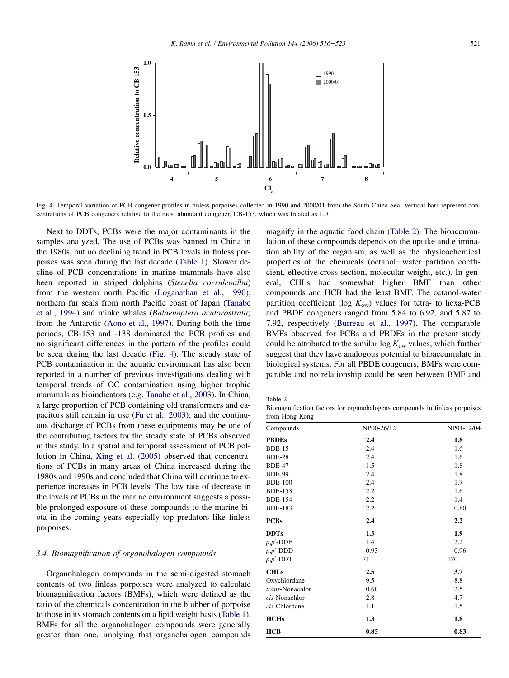

Fig. 4. Temporal variation of PCB congener profiles in finless porpoises collected in 1990 and 2000/01 from the South China Sea. Vertical bars represent concentrations of PCB congeners relative to the most abundant congener, CB-153, which was treated as 1.0.

Next to DDTs, PCBs were the major contaminants in the samples analyzed. The use of PCBs was banned in China in the 1980s, but no declining trend in PCB levels in finless porpoises was seen during the last decade [\(Table](#page-2-0) 1). Slower decline of PCB concentrations in marine mammals have also been reported in striped dolphins (Stenella coeruleoalba) from the western north Pacific [\(Loganathan](#page-7-0) et al., 1990), northern fur seals from north Pacific coast of Japan ([Tanabe](#page-7-0) et al., [1994\)](#page-7-0) and minke whales (Balaenoptera acutorostrata) from the Antarctic [\(Aono](#page-6-0) et al., 1997). During both the time periods, CB-153 and -138 dominated the PCB profiles and no significant differences in the pattern of the profiles could be seen during the last decade (Fig. 4). The steady state of PCB contamination in the aquatic environment has also been reported in a number of previous investigations dealing with temporal trends of OC contamination using higher trophic mammals as bioindicators (e.g. [Tanabe](#page-7-0) et al., 2003). In China, a large proportion of PCB containing old transformers and capacitors still remain in use (Fu et al., [2003\)](#page-6-0); and the continuous discharge of PCBs from these equipments may be one of the contributing factors for the steady state of PCBs observed in this study. In a spatial and temporal assessment of PCB pollution in China, Xing et al. [\(2005\)](#page-7-0) observed that concentrations of PCBs in many areas of China increased during the 1980s and 1990s and concluded that China will continue to experience increases in PCB levels. The low rate of decrease in the levels of PCBs in the marine environment suggests a possible prolonged exposure of these compounds to the marine biota in the coming years especially top predators like finless porpoises.

# 3.4. Biomagnification of organohalogen compounds

Organohalogen compounds in the semi-digested stomach contents of two finless porpoises were analyzed to calculate biomagnification factors (BMFs), which were defined as the ratio of the chemicals concentration in the blubber of porpoise to those in its stomach contents on a lipid weight basis [\(Table](#page-2-0) 1). BMFs for all the organohalogen compounds were generally greater than one, implying that organohalogen compounds magnify in the aquatic food chain (Table 2). The bioaccumulation of these compounds depends on the uptake and elimination ability of the organism, as well as the physicochemical properties of the chemicals (octanol-water partition coefficient, effective cross section, molecular weight, etc.). In general, CHLs had somewhat higher BMF than other compounds and HCB had the least BMF. The octanol-water partition coefficient (log  $K_{\text{ow}}$ ) values for tetra- to hexa-PCB and PBDE congeners ranged from 5.84 to 6.92, and 5.87 to 7.92, respectively [\(Burreau](#page-6-0) et al., 1997). The comparable BMFs observed for PCBs and PBDEs in the present study could be attributed to the similar  $\log K_{ow}$  values, which further suggest that they have analogous potential to bioaccumulate in biological systems. For all PBDE congeners, BMFs were comparable and no relationship could be seen between BMF and

Table 2

Biomagnification factors for organohalogens compounds in finless porpoises from Hong Kong

| Compounds       | NP00-26/12 | NP01-12/04 |
|-----------------|------------|------------|
| <b>PBDEs</b>    | 2.4        | 1.8        |
| <b>BDE-15</b>   | 2.4        | 1.6        |
| <b>BDE-28</b>   | 2.4        | 1.6        |
| <b>BDE-47</b>   | 1.5        | 1.8        |
| <b>BDE-99</b>   | 2.4        | 1.8        |
| <b>BDE-100</b>  | 2.4        | 1.7        |
| <b>BDE-153</b>  | 2.2        | 1.6        |
| <b>BDE-154</b>  | 2.2        | 1.4        |
| <b>BDE-183</b>  | 2.2        | 0.80       |
| <b>PCBs</b>     | 2.4        | 2,2        |
| <b>DDTs</b>     | 1.3        | 1.9        |
| $p$ , $p'$ -DDE | 1.4        | 2.2        |
| $p, p'$ -DDD    | 0.93       | 0.96       |
| $p$ , $p'$ -DDT | 71         | 170        |
| <b>CHLs</b>     | 2.5        | 3.7        |
| Oxychlordane    | 9.5        | 8.8        |
| trans-Nonachlor | 0.68       | 2.5        |
| cis-Nonachlor   | 2.8        | 4.7        |
| cis-Chlordane   | 1.1        | 1.5        |
| <b>HCHs</b>     | 1.3        | 1.8        |
| <b>HCB</b>      | 0.85       | 0.83       |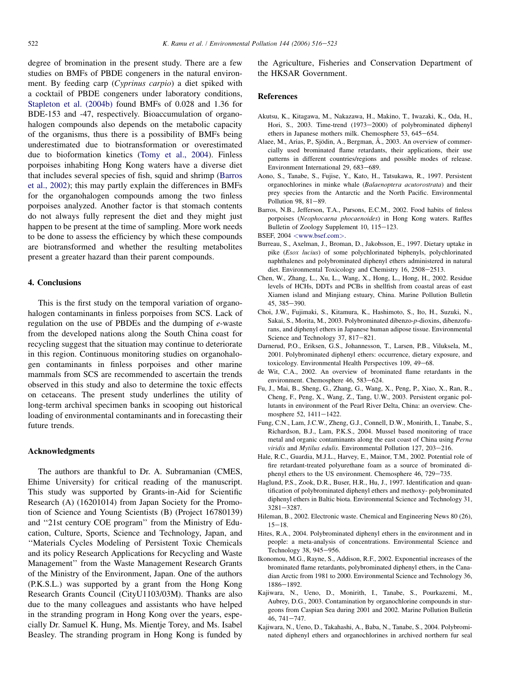<span id="page-6-0"></span>degree of bromination in the present study. There are a few studies on BMFs of PBDE congeners in the natural environment. By feeding carp (Cyprinus carpio) a diet spiked with a cocktail of PBDE congeners under laboratory conditions, [Stapleton](#page-7-0) et al. (2004b) found BMFs of 0.028 and 1.36 for BDE-153 and -47, respectively. Bioaccumulation of organohalogen compounds also depends on the metabolic capacity of the organisms, thus there is a possibility of BMFs being underestimated due to biotransformation or overestimated due to bioformation kinetics [\(Tomy](#page-7-0) et al., 2004). Finless porpoises inhabiting Hong Kong waters have a diverse diet that includes several species of fish, squid and shrimp (Barros et al., 2002); this may partly explain the differences in BMFs for the organohalogen compounds among the two finless porpoises analyzed. Another factor is that stomach contents do not always fully represent the diet and they might just happen to be present at the time of sampling. More work needs to be done to assess the efficiency by which these compounds are biotransformed and whether the resulting metabolites present a greater hazard than their parent compounds.

# 4. Conclusions

This is the first study on the temporal variation of organohalogen contaminants in finless porpoises from SCS. Lack of regulation on the use of PBDEs and the dumping of e-waste from the developed nations along the South China coast for recycling suggest that the situation may continue to deteriorate in this region. Continuous monitoring studies on organohalogen contaminants in finless porpoises and other marine mammals from SCS are recommended to ascertain the trends observed in this study and also to determine the toxic effects on cetaceans. The present study underlines the utility of long-term archival specimen banks in scooping out historical loading of environmental contaminants and in forecasting their future trends.

### Acknowledgments

The authors are thankful to Dr. A. Subramanian (CMES, Ehime University) for critical reading of the manuscript. This study was supported by Grants-in-Aid for Scientific Research (A) (16201014) from Japan Society for the Promotion of Science and Young Scientists (B) (Project 16780139) and ''21st century COE program'' from the Ministry of Education, Culture, Sports, Science and Technology, Japan, and ''Materials Cycles Modeling of Persistent Toxic Chemicals and its policy Research Applications for Recycling and Waste Management'' from the Waste Management Research Grants of the Ministry of the Environment, Japan. One of the authors (P.K.S.L.) was supported by a grant from the Hong Kong Research Grants Council (CityU1103/03M). Thanks are also due to the many colleagues and assistants who have helped in the stranding program in Hong Kong over the years, especially Dr. Samuel K. Hung, Ms. Mientje Torey, and Ms. Isabel Beasley. The stranding program in Hong Kong is funded by the Agriculture, Fisheries and Conservation Department of the HKSAR Government.

#### References

- Akutsu, K., Kitagawa, M., Nakazawa, H., Makino, T., Iwazaki, K., Oda, H., Hori, S., 2003. Time-trend (1973-2000) of polybrominated diphenyl ethers in Japanese mothers milk. Chemosphere 53, 645–654.
- Alaee, M., Arias, P., Sjödin, A., Bergman, Å., 2003. An overview of commercially used brominated flame retardants, their applications, their use patterns in different countries/regions and possible modes of release. Environment International 29, 683-689.
- Aono, S., Tanabe, S., Fujise, Y., Kato, H., Tatsukawa, R., 1997. Persistent organochlorines in minke whale (Balaenoptera acutorostrata) and their prey species from the Antarctic and the North Pacific. Environmental Pollution 98,  $81-89$ .
- Barros, N.B., Jefferson, T.A., Parsons, E.C.M., 2002. Food habits of finless porpoises (Neophocaena phocaenoides) in Hong Kong waters. Raffles Bulletin of Zoology Supplement 10, 115-123. BSEF, 2004 <[www.bsef.com](http://www.bsef.com)>.
- Burreau, S., Axelman, J., Broman, D., Jakobsson, E., 1997. Dietary uptake in pike (Esox lucius) of some polychlorinated biphenyls, polychlorinated naphthalenes and polybrominated diphenyl ethers administered in natural diet. Environmental Toxicology and Chemistry 16, 2508-2513.
- Chen, W., Zhang, L., Xu, L., Wang, X., Hong, L., Hong, H., 2002. Residue levels of HCHs, DDTs and PCBs in shellfish from coastal areas of east Xiamen island and Minjiang estuary, China. Marine Pollution Bulletin 45, 385-390.
- Choi, J.W., Fujimaki, S., Kitamura, K., Hashimoto, S., Ito, H., Suzuki, N., Sakai, S., Morita, M., 2003. Polybrominated dibenzo-p-dioxins, dibenzofurans, and diphenyl ethers in Japanese human adipose tissue. Environmental Science and Technology 37, 817-821.
- Darnerud, P.O., Eriksen, G.S., Johannesson, T., Larsen, P.B., Viluksela, M., 2001. Polybrominated diphenyl ethers: occurrence, dietary exposure, and toxicology. Environmental Health Perspectives 109, 49-68.
- de Wit, C.A., 2002. An overview of brominated flame retardants in the environment. Chemosphere 46, 583-624.
- Fu, J., Mai, B., Sheng, G., Zhang, G., Wang, X., Peng, P., Xiao, X., Ran, R., Cheng, F., Peng, X., Wang, Z., Tang, U.W., 2003. Persistent organic pollutants in environment of the Pearl River Delta, China: an overview. Chemosphere 52, 1411-1422.
- Fung, C.N., Lam, J.C.W., Zheng, G.J., Connell, D.W., Monirith, I., Tanabe, S., Richardson, B.J., Lam, P.K.S., 2004. Mussel based monitoring of trace metal and organic contaminants along the east coast of China using Perna viridis and Mytilus edulis. Environmental Pollution 127, 203-216.
- Hale, R.C., Guardia, M.J.L., Harvey, E., Mainor, T.M., 2002. Potential role of fire retardant-treated polyurethane foam as a source of brominated diphenyl ethers to the US environment. Chemosphere 46, 729–735.
- Haglund, P.S., Zook, D.R., Buser, H.R., Hu, J., 1997. Identification and quantification of polybrominated diphenyl ethers and methoxy- polybrominated diphenyl ethers in Baltic biota. Environmental Science and Technology 31,  $3281 - 3287$ .
- Hileman, B., 2002. Electronic waste. Chemical and Engineering News 80 (26),  $15 - 18.$
- Hites, R.A., 2004. Polybrominated diphenyl ethers in the environment and in people: a meta-analysis of concentrations. Environmental Science and Technology 38, 945-956.
- Ikonomou, M.G., Rayne, S., Addison, R.F., 2002. Exponential increases of the brominated flame retardants, polybrominated diphenyl ethers, in the Canadian Arctic from 1981 to 2000. Environmental Science and Technology 36, 1886-1892.
- Kajiwara, N., Ueno, D., Monirith, I., Tanabe, S., Pourkazemi, M., Aubrey, D.G., 2003. Contamination by organochlorine compounds in sturgeons from Caspian Sea during 2001 and 2002. Marine Pollution Bulletin 46,  $741 - 747$ .
- Kajiwara, N., Ueno, D., Takahashi, A., Baba, N., Tanabe, S., 2004. Polybrominated diphenyl ethers and organochlorines in archived northern fur seal